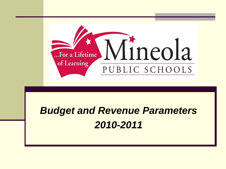

### *Budget and Revenue Parameters 2010-2011*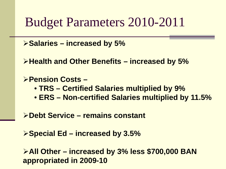### Budget Parameters 2010-2011

**Salaries – increased by 5%**

**Health and Other Benefits – increased by 5%**

**Pension Costs –** • **TRS – Certified Salaries multiplied by 9%** • **ERS – Non-certified Salaries multiplied by 11.5%**

**Debt Service – remains constant**

**Special Ed – increased by 3.5%**

**All Other – increased by 3% less \$700,000 BAN appropriated in 2009-10**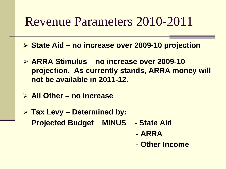## Revenue Parameters 2010-2011

- **State Aid – no increase over 2009-10 projection**
- **ARRA Stimulus – no increase over 2009-10 projection. As currently stands, ARRA money will not be available in 2011-12.**
- **All Other – no increase**
- **Tax Levy – Determined by: Projected Budget MINUS - State Aid**
	- **- ARRA**
	- **- Other Income**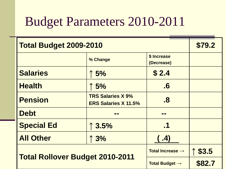## Budget Parameters 2010-2011

| <b>Total Budget 2009-2010</b>          | \$79.2                                                  |                             |        |
|----------------------------------------|---------------------------------------------------------|-----------------------------|--------|
|                                        | % Change                                                | \$ Increase<br>(Decrease)   |        |
| <b>Salaries</b>                        | $\uparrow$ 5%                                           | \$2.4                       |        |
| <b>Health</b>                          | $\uparrow$ 5%                                           | $\overline{\boldsymbol{6}}$ |        |
| <b>Pension</b>                         | <b>TRS Salaries X 9%</b><br><b>ERS Salaries X 11.5%</b> | $\overline{\mathbf{8}}$     |        |
| <b>Debt</b>                            | a po                                                    | m m                         |        |
| <b>Special Ed</b>                      | $\uparrow$ 3.5%                                         | $\cdot$ 1                   |        |
| <b>All Other</b>                       | $\uparrow$ 3%                                           | .4)                         |        |
|                                        | Total Increase $\rightarrow$                            | \$3.5                       |        |
| <b>Total Rollover Budget 2010-2011</b> |                                                         | Total Budget $\rightarrow$  | \$82.7 |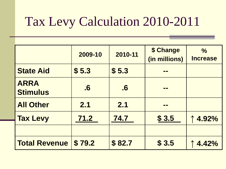# Tax Levy Calculation 2010-2011

|                                | 2009-10            | 2010-11                     | \$ Change<br>(in millions) | $\frac{0}{0}$<br><b>Increase</b> |
|--------------------------------|--------------------|-----------------------------|----------------------------|----------------------------------|
| <b>State Aid</b>               | \$5.3              | \$5.3                       | <b>THE REAL</b>            |                                  |
| <b>ARRA</b><br><b>Stimulus</b> | $\overline{\cdot}$ | $\overline{\boldsymbol{6}}$ | <u>mm</u>                  |                                  |
| <b>All Other</b>               | 2.1                | 2.1                         | m m                        |                                  |
| <b>Tax Levy</b>                | 71.2               | 74.7                        | \$3.5                      | 4.92%                            |
|                                |                    |                             |                            |                                  |
| <b>Total Revenue</b>           | \$79.2             | \$82.7                      | \$3.5                      | 4.42%                            |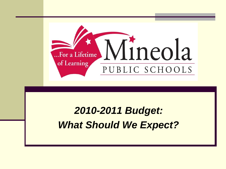

#### *2010-2011 Budget: What Should We Expect?*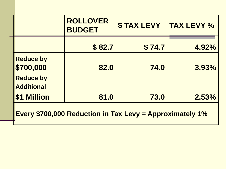|                                       | <b>ROLLOVER</b><br><b>BUDGET</b> | <b>\$TAX LEVY</b> | <b>TAX LEVY %</b> |
|---------------------------------------|----------------------------------|-------------------|-------------------|
|                                       | \$82.7                           | \$74.7            | 4.92%             |
| <b>Reduce by</b><br>\$700,000         | 82.0                             | 74.0              | 3.93%             |
| <b>Reduce by</b><br><b>Additional</b> |                                  |                   |                   |
| <b>Million</b><br><b>S1</b>           | 81.0                             | 73.0              | 2.53%             |

**Every \$700,000 Reduction in Tax Levy = Approximately 1%**